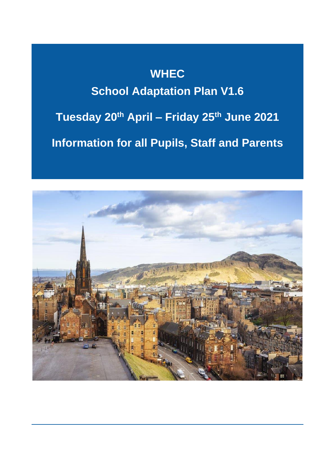# **WHEC School Adaptation Plan V1.6 Tuesday 20th April – Friday 25th June 2021 Information for all Pupils, Staff and Parents**

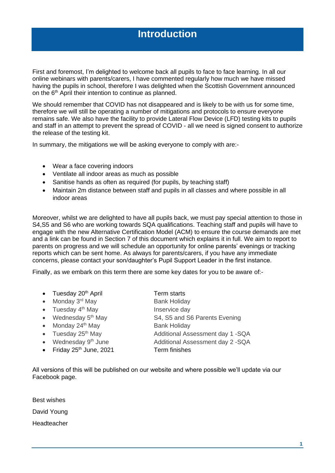### **Introduction**

First and foremost, I'm delighted to welcome back all pupils to face to face learning. In all our online webinars with parents/carers, I have commented regularly how much we have missed having the pupils in school, therefore I was delighted when the Scottish Government announced on the 6<sup>th</sup> April their intention to continue as planned.

We should remember that COVID has not disappeared and is likely to be with us for some time, therefore we will still be operating a number of mitigations and protocols to ensure everyone remains safe. We also have the facility to provide Lateral Flow Device (LFD) testing kits to pupils and staff in an attempt to prevent the spread of COVID - all we need is signed consent to authorize the release of the testing kit.

In summary, the mitigations we will be asking everyone to comply with are:-

- Wear a face covering indoors
- Ventilate all indoor areas as much as possible
- Sanitise hands as often as required (for pupils, by teaching staff)
- Maintain 2m distance between staff and pupils in all classes and where possible in all indoor areas

Moreover, whilst we are delighted to have all pupils back, we must pay special attention to those in S4,S5 and S6 who are working towards SQA qualifications. Teaching staff and pupils will have to engage with the new Alternative Certification Model (ACM) to ensure the course demands are met and a link can be found in Section 7 of this document which explains it in full. We aim to report to parents on progress and we will schedule an opportunity for online parents' evenings or tracking reports which can be sent home. As always for parents/carers, if you have any immediate concerns, please contact your son/daughter's Pupil Support Leader in the first instance.

Finally, as we embark on this term there are some key dates for you to be aware of:-

- Tuesday 20<sup>th</sup> April Term starts
- Monday  $3^{\text{rd}}$  May Bank Holiday
- Tuesday 4<sup>th</sup> May Inservice day
- 
- Monday  $24<sup>th</sup>$  May Bank Holiday
- 
- 
- Friday 25<sup>th</sup> June, 2021 Term finishes

• Wednesday  $5<sup>th</sup>$  May  $S<sup>4</sup>$ , S5 and S6 Parents Evening • Tuesday 25<sup>th</sup> May **Additional Assessment day 1 -SQA** • Wednesday 9<sup>th</sup> June **Additional Assessment day 2 -SQA** 

All versions of this will be published on our website and where possible we'll update via our Facebook page.

Best wishes David Young Headteacher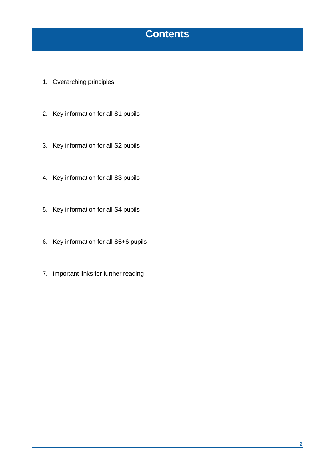### **Contents**

- 1. Overarching principles
- 2. Key information for all S1 pupils
- 3. Key information for all S2 pupils
- 4. Key information for all S3 pupils
- 5. Key information for all S4 pupils
- 6. Key information for all S5+6 pupils
- 7. Important links for further reading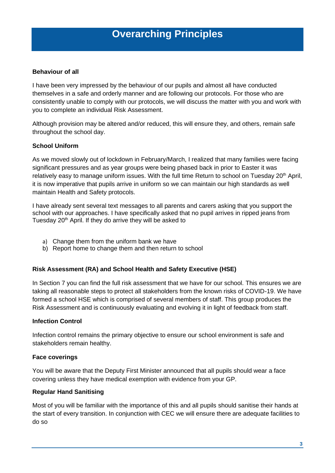### **Overarching Principles**

#### **Behaviour of all**

I have been very impressed by the behaviour of our pupils and almost all have conducted themselves in a safe and orderly manner and are following our protocols. For those who are consistently unable to comply with our protocols, we will discuss the matter with you and work with you to complete an individual Risk Assessment.

Although provision may be altered and/or reduced, this will ensure they, and others, remain safe throughout the school day.

#### **School Uniform**

As we moved slowly out of lockdown in February/March, I realized that many families were facing significant pressures and as year groups were being phased back in prior to Easter it was relatively easy to manage uniform issues. With the full time Return to school on Tuesday  $20<sup>th</sup>$  April, it is now imperative that pupils arrive in uniform so we can maintain our high standards as well maintain Health and Safety protocols.

I have already sent several text messages to all parents and carers asking that you support the school with our approaches. I have specifically asked that no pupil arrives in ripped jeans from Tuesday 20<sup>th</sup> April. If they do arrive they will be asked to

- a) Change them from the uniform bank we have
- b) Report home to change them and then return to school

#### **Risk Assessment (RA) and School Health and Safety Executive (HSE)**

In Section 7 you can find the full risk assessment that we have for our school. This ensures we are taking all reasonable steps to protect all stakeholders from the known risks of COVID-19. We have formed a school HSE which is comprised of several members of staff. This group produces the Risk Assessment and is continuously evaluating and evolving it in light of feedback from staff.

#### **Infection Control**

Infection control remains the primary objective to ensure our school environment is safe and stakeholders remain healthy.

#### **Face coverings**

You will be aware that the Deputy First Minister announced that all pupils should wear a face covering unless they have medical exemption with evidence from your GP.

#### **Regular Hand Sanitising**

Most of you will be familiar with the importance of this and all pupils should sanitise their hands at the start of every transition. In conjunction with CEC we will ensure there are adequate facilities to do so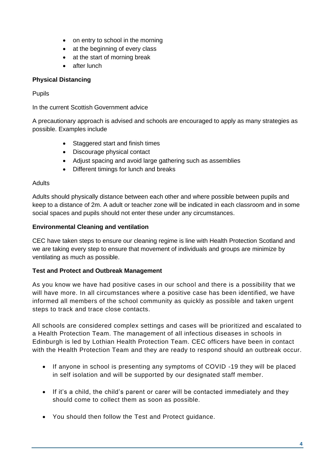- on entry to school in the morning
- at the beginning of every class
- at the start of morning break
- after lunch

#### **Physical Distancing**

#### Pupils

In the current Scottish Government advice

A precautionary approach is advised and schools are encouraged to apply as many strategies as possible. Examples include

- Staggered start and finish times
- Discourage physical contact
- Adjust spacing and avoid large gathering such as assemblies
- Different timings for lunch and breaks

#### **Adults**

Adults should physically distance between each other and where possible between pupils and keep to a distance of 2m. A adult or teacher zone will be indicated in each classroom and in some social spaces and pupils should not enter these under any circumstances.

#### **Environmental Cleaning and ventilation**

CEC have taken steps to ensure our cleaning regime is line with Health Protection Scotland and we are taking every step to ensure that movement of individuals and groups are minimize by ventilating as much as possible.

#### **Test and Protect and Outbreak Management**

As you know we have had positive cases in our school and there is a possibility that we will have more. In all circumstances where a positive case has been identified, we have informed all members of the school community as quickly as possible and taken urgent steps to track and trace close contacts.

All schools are considered complex settings and cases will be prioritized and escalated to a Health Protection Team. The management of all infectious diseases in schools in Edinburgh is led by Lothian Health Protection Team. CEC officers have been in contact with the Health Protection Team and they are ready to respond should an outbreak occur.

- If anyone in school is presenting any symptoms of COVID -19 they will be placed in self isolation and will be supported by our designated staff member.
- If it's a child, the child's parent or carer will be contacted immediately and they should come to collect them as soon as possible.
- You should then follow the Test and Protect guidance.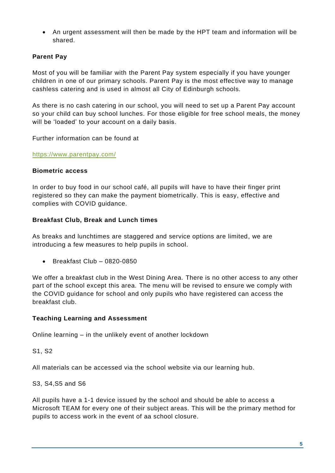• An urgent assessment will then be made by the HPT team and information will be shared.

### **Parent Pay**

Most of you will be familiar with the Parent Pay system especially if you have younger children in one of our primary schools. Parent Pay is the most effective way to manage cashless catering and is used in almost all City of Edinburgh schools.

As there is no cash catering in our school, you will need to set up a Parent Pay account so your child can buy school lunches. For those eligible for free school meals, the money will be 'loaded' to your account on a daily basis.

Further information can be found at

<https://www.parentpay.com/>

#### **Biometric access**

In order to buy food in our school café, all pupils will have to have their finger print registered so they can make the payment biometrically. This is easy, effective and complies with COVID guidance.

#### **Breakfast Club, Break and Lunch times**

As breaks and lunchtimes are staggered and service options are limited, we are introducing a few measures to help pupils in school.

• Breakfast Club – 0820-0850

We offer a breakfast club in the West Dining Area. There is no other access to any other part of the school except this area. The menu will be revised to ensure we comply with the COVID guidance for school and only pupils who have registered can access the breakfast club.

#### **Teaching Learning and Assessment**

Online learning – in the unlikely event of another lockdown

S1, S2

All materials can be accessed via the school website via our learning hub.

#### S3, S4,S5 and S6

All pupils have a 1-1 device issued by the school and should be able to access a Microsoft TEAM for every one of their subject areas. This will be the primary method for pupils to access work in the event of aa school closure.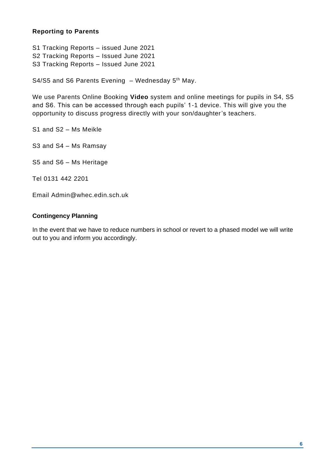#### **Reporting to Parents**

S1 Tracking Reports – issued June 2021 S2 Tracking Reports – Issued June 2021 S3 Tracking Reports – Issued June 2021

S4/S5 and S6 Parents Evening  $-$  Wednesday 5<sup>th</sup> May.

We use Parents Online Booking **Video** system and online meetings for pupils in S4, S5 and S6. This can be accessed through each pupils' 1-1 device. This will give you the opportunity to discuss progress directly with your son/daughter's teachers.

S1 and S2 – Ms Meikle

S3 and S4 – Ms Ramsay

S5 and S6 – Ms Heritage

Tel 0131 442 2201

Email [Admin@whec.edin.sch.uk](mailto:Admin@whec.edin.sch.uk)

#### **Contingency Planning**

In the event that we have to reduce numbers in school or revert to a phased model we will write out to you and inform you accordingly.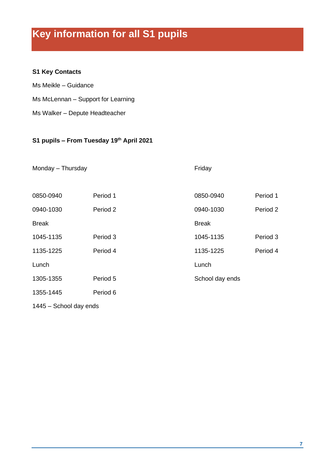## **Key information for all S1 pupils**

### **S1 Key Contacts**

Ms Meikle – Guidance Ms McLennan – Support for Learning

Ms Walker – Depute Headteacher

#### **S1 pupils – From Tuesday 19th April 2021**

| Monday - Thursday |          | Friday          |          |
|-------------------|----------|-----------------|----------|
| 0850-0940         | Period 1 | 0850-0940       | Period 1 |
| 0940-1030         | Period 2 | 0940-1030       | Period 2 |
| <b>Break</b>      |          | <b>Break</b>    |          |
| 1045-1135         | Period 3 | 1045-1135       | Period 3 |
| 1135-1225         | Period 4 | 1135-1225       | Period 4 |
| Lunch             |          | Lunch           |          |
| 1305-1355         | Period 5 | School day ends |          |
| 1355-1445         | Period 6 |                 |          |

1445 – School day ends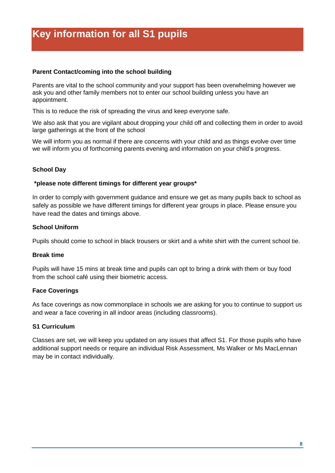Parents are vital to the school community and your support has been overwhelming however we ask you and other family members not to enter our school building unless you have an appointment.

This is to reduce the risk of spreading the virus and keep everyone safe.

We also ask that you are vigilant about dropping your child off and collecting them in order to avoid large gatherings at the front of the school

We will inform you as normal if there are concerns with your child and as things evolve over time we will inform you of forthcoming parents evening and information on your child's progress.

#### **School Day**

#### **\*please note different timings for different year groups\***

In order to comply with government guidance and ensure we get as many pupils back to school as safely as possible we have different timings for different year groups in place. Please ensure you have read the dates and timings above.

#### **School Uniform**

Pupils should come to school in black trousers or skirt and a white shirt with the current school tie.

#### **Break time**

Pupils will have 15 mins at break time and pupils can opt to bring a drink with them or buy food from the school café using their biometric access.

#### **Face Coverings**

As face coverings as now commonplace in schools we are asking for you to continue to support us and wear a face covering in all indoor areas (including classrooms).

#### **S1 Curriculum**

Classes are set, we will keep you updated on any issues that affect S1. For those pupils who have additional support needs or require an individual Risk Assessment, Ms Walker or Ms MacLennan may be in contact individually.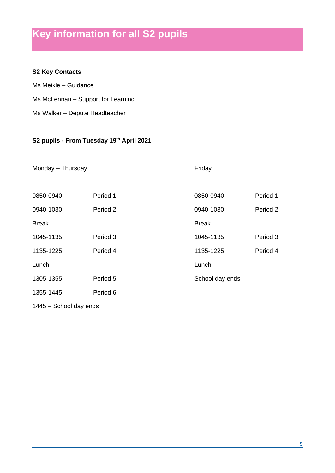### **Key information for all S2 pupils**

### **S2 Key Contacts**

Ms Meikle – Guidance Ms McLennan – Support for Learning Ms Walker – Depute Headteacher

#### **S2 pupils - From Tuesday 19th April 2021**

| Monday - Thursday |          | Friday          |          |
|-------------------|----------|-----------------|----------|
| 0850-0940         | Period 1 | 0850-0940       | Period 1 |
| 0940-1030         | Period 2 | 0940-1030       | Period 2 |
| <b>Break</b>      |          | <b>Break</b>    |          |
| 1045-1135         | Period 3 | 1045-1135       | Period 3 |
| 1135-1225         | Period 4 | 1135-1225       | Period 4 |
| Lunch             |          | Lunch           |          |
| 1305-1355         | Period 5 | School day ends |          |
| 1355-1445         | Period 6 |                 |          |

1445 – School day ends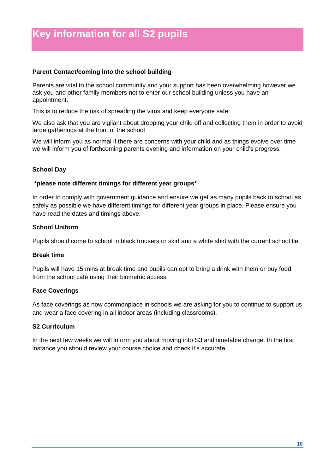Parents are vital to the school community and your support has been overwhelming however we ask you and other family members not to enter our school building unless you have an appointment.

This is to reduce the risk of spreading the virus and keep everyone safe.

We also ask that you are vigilant about dropping your child off and collecting them in order to avoid large gatherings at the front of the school

We will inform you as normal if there are concerns with your child and as things evolve over time we will inform you of forthcoming parents evening and information on your child's progress.

#### **School Day**

#### **\*please note different timings for different year groups\***

In order to comply with government guidance and ensure we get as many pupils back to school as safely as possible we have different timings for different year groups in place. Please ensure you have read the dates and timings above.

#### **School Uniform**

Pupils should come to school in black trousers or skirt and a white shirt with the current school tie.

#### **Break time**

Pupils will have 15 mins at break time and pupils can opt to bring a drink with them or buy food from the school café using their biometric access.

#### **Face Coverings**

As face coverings as now commonplace in schools we are asking for you to continue to support us and wear a face covering in all indoor areas (including classrooms).

#### **S2 Curriculum**

In the next few weeks we will inform you about moving into S3 and timetable change. In the first instance you should review your course choice and check it's accurate.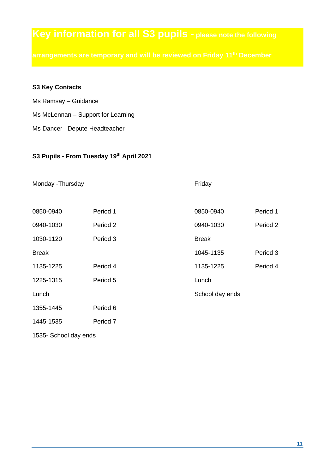#### **S3 Key Contacts**

- Ms Ramsay Guidance
- Ms McLennan Support for Learning
- Ms Dancer– Depute Headteacher

#### **S3 Pupils - From Tuesday 19th April 2021**

#### Monday -Thursday **Friday Friday**

| 0850-0940    | Period 1 | 0850-0940       | Period 1 |
|--------------|----------|-----------------|----------|
| 0940-1030    | Period 2 | 0940-1030       | Period 2 |
| 1030-1120    | Period 3 | <b>Break</b>    |          |
| <b>Break</b> |          | 1045-1135       | Period 3 |
| 1135-1225    | Period 4 | 1135-1225       | Period 4 |
| 1225-1315    | Period 5 | Lunch           |          |
| Lunch        |          | School day ends |          |
| 1355-1445    | Period 6 |                 |          |
| 1445-1535    | Period 7 |                 |          |

1535- School day ends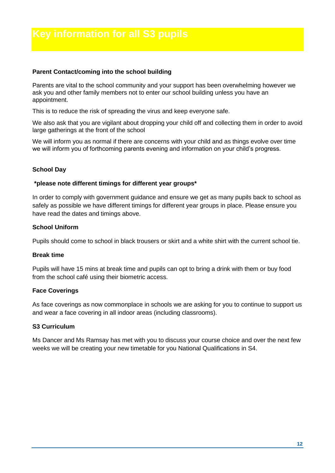Parents are vital to the school community and your support has been overwhelming however we ask you and other family members not to enter our school building unless you have an appointment.

This is to reduce the risk of spreading the virus and keep everyone safe.

We also ask that you are vigilant about dropping your child off and collecting them in order to avoid large gatherings at the front of the school

We will inform you as normal if there are concerns with your child and as things evolve over time we will inform you of forthcoming parents evening and information on your child's progress.

#### **School Day**

#### **\*please note different timings for different year groups\***

In order to comply with government guidance and ensure we get as many pupils back to school as safely as possible we have different timings for different year groups in place. Please ensure you have read the dates and timings above.

#### **School Uniform**

Pupils should come to school in black trousers or skirt and a white shirt with the current school tie.

#### **Break time**

Pupils will have 15 mins at break time and pupils can opt to bring a drink with them or buy food from the school café using their biometric access.

#### **Face Coverings**

As face coverings as now commonplace in schools we are asking for you to continue to support us and wear a face covering in all indoor areas (including classrooms).

#### **S3 Curriculum**

Ms Dancer and Ms Ramsay has met with you to discuss your course choice and over the next few weeks we will be creating your new timetable for you National Qualifications in S4.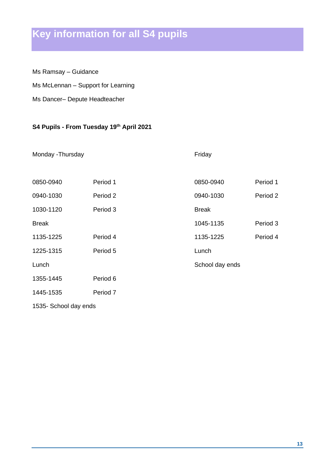## **Key information for all S4 pupils**

Ms Ramsay – Guidance

Ms McLennan – Support for Learning

Ms Dancer– Depute Headteacher

#### **S4 Pupils - From Tuesday 19th April 2021**

Monday -Thursday Friday

| 0850-0940             | Period 1 | 0850-0940       | Period 1 |
|-----------------------|----------|-----------------|----------|
| 0940-1030             | Period 2 | 0940-1030       | Period 2 |
| 1030-1120             | Period 3 | <b>Break</b>    |          |
| <b>Break</b>          |          | 1045-1135       | Period 3 |
| 1135-1225             | Period 4 | 1135-1225       | Period 4 |
| 1225-1315             | Period 5 | Lunch           |          |
| Lunch                 |          | School day ends |          |
| 1355-1445             | Period 6 |                 |          |
| 1445-1535             | Period 7 |                 |          |
| 1535- School day ends |          |                 |          |

**13**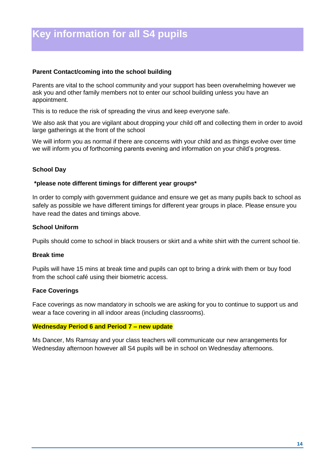Parents are vital to the school community and your support has been overwhelming however we ask you and other family members not to enter our school building unless you have an appointment.

This is to reduce the risk of spreading the virus and keep everyone safe.

We also ask that you are vigilant about dropping your child off and collecting them in order to avoid large gatherings at the front of the school

We will inform you as normal if there are concerns with your child and as things evolve over time we will inform you of forthcoming parents evening and information on your child's progress.

#### **School Day**

#### **\*please note different timings for different year groups\***

In order to comply with government guidance and ensure we get as many pupils back to school as safely as possible we have different timings for different year groups in place. Please ensure you have read the dates and timings above.

#### **School Uniform**

Pupils should come to school in black trousers or skirt and a white shirt with the current school tie.

#### **Break time**

Pupils will have 15 mins at break time and pupils can opt to bring a drink with them or buy food from the school café using their biometric access.

#### **Face Coverings**

Face coverings as now mandatory in schools we are asking for you to continue to support us and wear a face covering in all indoor areas (including classrooms).

#### **Wednesday Period 6 and Period 7 – new update**

Ms Dancer, Ms Ramsay and your class teachers will communicate our new arrangements for Wednesday afternoon however all S4 pupils will be in school on Wednesday afternoons.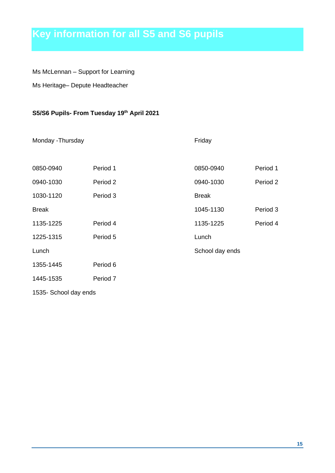## **Key information for all S5 and S6 pupils**

Ms McLennan – Support for Learning

Ms Heritage– Depute Headteacher

### **S5/S6 Pupils- From Tuesday 19th April 2021**

Monday -Thursday **Friday Friday** 

| 0850-0940             | Period 1 | 0850-0940       | Period 1 |
|-----------------------|----------|-----------------|----------|
| 0940-1030             | Period 2 | 0940-1030       | Period 2 |
| 1030-1120             | Period 3 | <b>Break</b>    |          |
| <b>Break</b>          |          | 1045-1130       | Period 3 |
| 1135-1225             | Period 4 | 1135-1225       | Period 4 |
| 1225-1315             | Period 5 | Lunch           |          |
| Lunch                 |          | School day ends |          |
| 1355-1445             | Period 6 |                 |          |
| 1445-1535             | Period 7 |                 |          |
| 1535- School day ends |          |                 |          |

**15**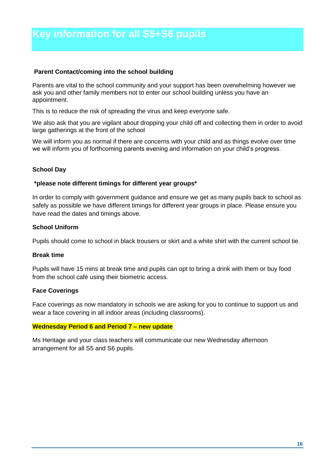Parents are vital to the school community and your support has been overwhelming however we ask you and other family members not to enter our school building unless you have an appointment.

This is to reduce the risk of spreading the virus and keep everyone safe.

We also ask that you are vigilant about dropping your child off and collecting them in order to avoid large gatherings at the front of the school

We will inform you as normal if there are concerns with your child and as things evolve over time we will inform you of forthcoming parents evening and information on your child's progress.

#### **School Day**

#### **\*please note different timings for different year groups\***

In order to comply with government guidance and ensure we get as many pupils back to school as safely as possible we have different timings for different year groups in place. Please ensure you have read the dates and timings above.

#### **School Uniform**

Pupils should come to school in black trousers or skirt and a white shirt with the current school tie.

#### **Break time**

Pupils will have 15 mins at break time and pupils can opt to bring a drink with them or buy food from the school café using their biometric access.

#### **Face Coverings**

Face coverings as now mandatory in schools we are asking for you to continue to support us and wear a face covering in all indoor areas (including classrooms).

#### **Wednesday Period 6 and Period 7 – new update**

Ms Heritage and your class teachers will communicate our new Wednesday afternoon arrangement for all S5 and S6 pupils.